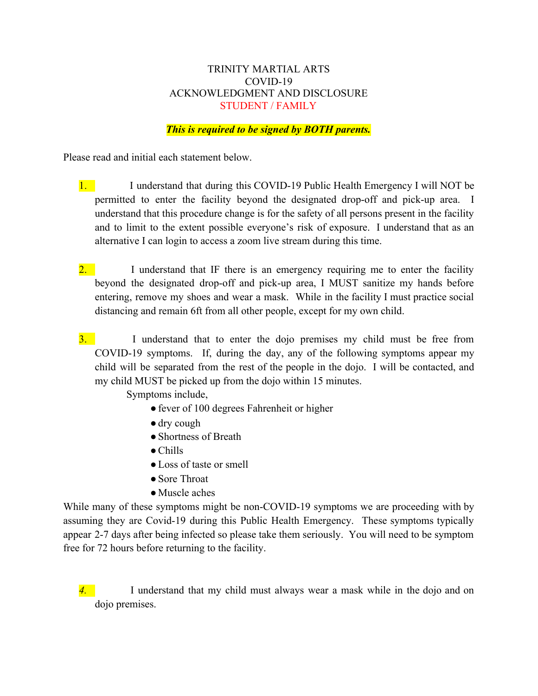## TRINITY MARTIAL ARTS COVID-19 ACKNOWLEDGMENT AND DISCLOSURE STUDENT / FAMILY

## *This is required to be signed by BOTH parents.*

Please read and initial each statement below.

- 1. I understand that during this COVID-19 Public Health Emergency I will NOT be permitted to enter the facility beyond the designated drop-off and pick-up area. I understand that this procedure change is for the safety of all persons present in the facility and to limit to the extent possible everyone's risk of exposure. I understand that as an alternative I can login to access a zoom live stream during this time.
- 2. I understand that IF there is an emergency requiring me to enter the facility beyond the designated drop-off and pick-up area, I MUST sanitize my hands before entering, remove my shoes and wear a mask. While in the facility I must practice social distancing and remain 6ft from all other people, except for my own child.
- 3. I understand that to enter the dojo premises my child must be free from COVID-19 symptoms. If, during the day, any of the following symptoms appear my child will be separated from the rest of the people in the dojo. I will be contacted, and my child MUST be picked up from the dojo within 15 minutes.

Symptoms include,

- fever of 100 degrees Fahrenheit or higher
- ●dry cough
- ●Shortness of Breath
- ●Chills
- ●Loss of taste or smell
- Sore Throat
- ●Muscle aches

While many of these symptoms might be non-COVID-19 symptoms we are proceeding with by assuming they are Covid-19 during this Public Health Emergency. These symptoms typically appear 2-7 days after being infected so please take them seriously. You will need to be symptom free for 72 hours before returning to the facility.

*4.* I understand that my child must always wear a mask while in the dojo and on dojo premises.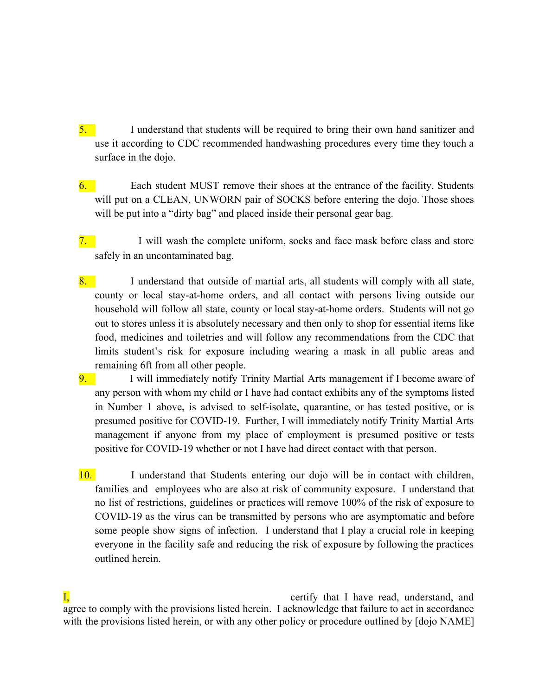- 5. I understand that students will be required to bring their own hand sanitizer and use it according to CDC recommended handwashing procedures every time they touch a surface in the dojo.
- 6. Each student MUST remove their shoes at the entrance of the facility. Students will put on a CLEAN, UNWORN pair of SOCKS before entering the dojo. Those shoes will be put into a "dirty bag" and placed inside their personal gear bag.
- 7. I will wash the complete uniform, socks and face mask before class and store safely in an uncontaminated bag.
- 8. I understand that outside of martial arts, all students will comply with all state, county or local stay-at-home orders, and all contact with persons living outside our household will follow all state, county or local stay-at-home orders. Students will not go out to stores unless it is absolutely necessary and then only to shop for essential items like food, medicines and toiletries and will follow any recommendations from the CDC that limits student's risk for exposure including wearing a mask in all public areas and remaining 6ft from all other people.
- 9. I will immediately notify Trinity Martial Arts management if I become aware of any person with whom my child or I have had contact exhibits any of the symptoms listed in Number 1 above, is advised to self-isolate, quarantine, or has tested positive, or is presumed positive for COVID-19. Further, I will immediately notify Trinity Martial Arts management if anyone from my place of employment is presumed positive or tests positive for COVID-19 whether or not I have had direct contact with that person.
- 10. I understand that Students entering our dojo will be in contact with children, families and employees who are also at risk of community exposure. I understand that no list of restrictions, guidelines or practices will remove 100% of the risk of exposure to COVID-19 as the virus can be transmitted by persons who are asymptomatic and before some people show signs of infection. I understand that I play a crucial role in keeping everyone in the facility safe and reducing the risk of exposure by following the practices outlined herein.

I, certify that I have read, understand, and agree to comply with the provisions listed herein. I acknowledge that failure to act in accordance with the provisions listed herein, or with any other policy or procedure outlined by  $\lceil \text{dodo NAME} \rceil$